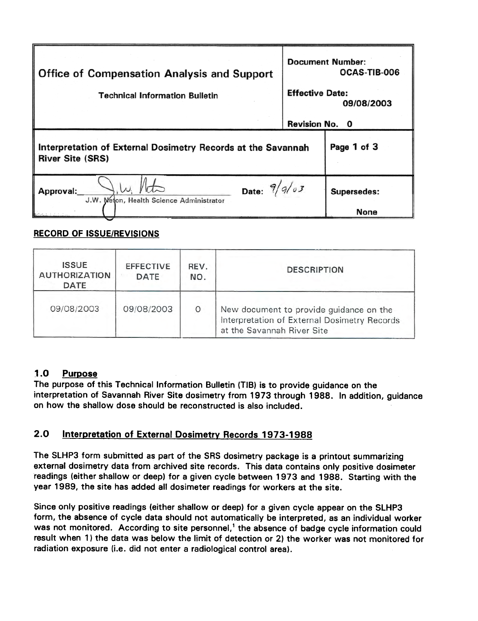| <b>Office of Compensation Analysis and Support</b><br><b>Technical Information Bulletin</b> | <b>Document Number:</b><br>OCAS-TIB-006<br><b>Effective Date:</b><br>09/08/2003<br>Revision No. 0 |                            |
|---------------------------------------------------------------------------------------------|---------------------------------------------------------------------------------------------------|----------------------------|
| Interpretation of External Dosimetry Records at the Savannah<br><b>River Site (SRS)</b>     |                                                                                                   | Page 1 of 3                |
| Date: $9/9/\sigma$<br>Approval:<br>J.W. Meton, Health Science Administrator                 |                                                                                                   | Supersedes:<br><b>None</b> |

#### RECORD OF ISSUE/REVISIONS

| <b>ISSUE</b><br><b>AUTHORIZATION</b><br><b>DATE</b> | <b>EFFECTIVE</b><br><b>DATE</b> | REV.<br>NO. | <b>DESCRIPTION</b>                                                                                                    |  |
|-----------------------------------------------------|---------------------------------|-------------|-----------------------------------------------------------------------------------------------------------------------|--|
| 09/08/2003                                          | 09/08/2003                      | $\circ$     | New document to provide guidance on the<br>Interpretation of External Dosimetry Records<br>at the Savannah River Site |  |

# 1.0 Purpose

The purpose of this Technical Information Bulletin (TIB) is to provide guidance on the interpretation of Savannah River Site dosimetry from 1973 through 1988. In addition, guidance on how the shallow dose should be reconstructed is also included.

# 2.0 Interpretation of External Dosimetry Records 1973-1988

The SLHP3 form submitted as part of the SRS dosimetry package is a printout summarizing external dosimetry data from archived site records. This data contains only positive dosimeter readings (either shallow or deep) for a given cycle between 1973 and 1988. Starting with the year 1989, the site has added all dosimeter readings for workers at the site.

Since only positive readings (either shallow or deep) for a given cycle appear on the SLHP3 form, the absence of cycle data should not automatically be interpreted, as an individual worker was not monitored. According to site personnel,<sup>1</sup> the absence of badge cycle information could result when 1) the data was below the limit of detection or 2) the worker was not monitored for radiation exposure (i.e. did not enter a radiological control area).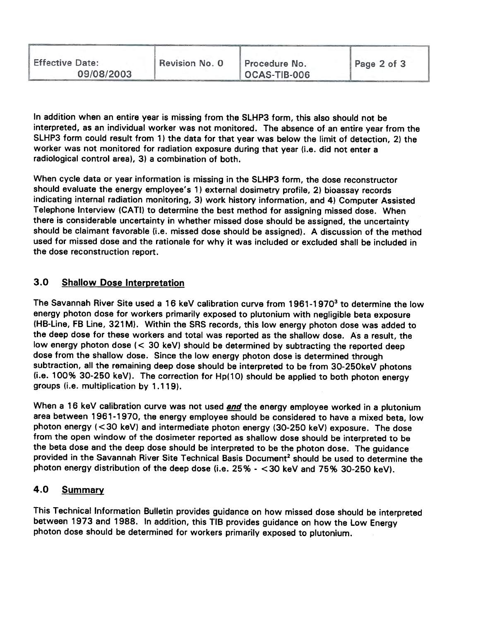| <b>Effective Date:</b><br>Revision No. 0<br>09/08/2003 | Procedure No.<br>OCAS-TIB-006 | Page 2 of 3 |
|--------------------------------------------------------|-------------------------------|-------------|
|--------------------------------------------------------|-------------------------------|-------------|

In addition when an entire year is missing from the SlHP3 form, this also should not be interpreted, as an individual worker was not monitored. The absence of an entire year from the SlHP3 form could result from 1) the data for that year was below the limit of detection, 2) the worker was not monitored for radiation exposure during that year (i.e. did not enter a radiological control area), 3) a combination of both.

When cycle data or year information is missing in the SLHP3 form, the dose reconstructor should evaluate the energy employee's 1) external dosimetry profile, 2) bioassay records indicating internal radiation monitoring, 3) work history information, and 4) Computer Assisted Telephone Interview (CATI) to determine the best method for assigning missed dose. When there is considerable uncertainty in whether missed dose should be assigned, the uncertainty should be claimant favorable (i.e. missed dose should be assigned). A discussion of the method used for missed dose and the rationale for why it was included or excluded shall be included in the dose reconstruction report.

# 3.0 Shallow Dose Interoretation

The Savannah River Site used a 16 keV calibration curve from  $1961-1970<sup>3</sup>$  to determine the low energy photon dose for workers primarily exposed to plutonium with negligible beta exposure (HB-Line, FB Line, 321 M). Within the SRS records, this low energy photon dose was added to the deep dose for these workers and total was reported as the shallow dose. As a result, the low energy photon dose  $\langle$  < 30 keV) should be determined by subtracting the reported deep dose from the shallow dose. Since the low energy photon dose is determined through subtraction, all the remaining deep dose shoufd be interpreted to be from 30-250keV photons (i.e. 100% 30-250 keY). The correction for Hp(10) should be applied to both photon energy groups (i.e. multiplication by 1.119).

When a 16 keV calibration curve was not used *and* the energy employee worked in a plutonium area between 1961-1970, the energy employee should be considered to have a mixed beta, low photon energy  $(<$ 30 keV) and intermediate photon energy (30-250 keV) exposure. The dose from the open window of the dosimeter reported as shallow dose should be interpreted to be the beta dose and the deep dose should be interpreted to be the photon dose. The guidance provided in the Savannah River Site Technical Basis Document<sup>2</sup> should be used to determine the photon energy distribution of the deep dose (i.e. 25% - <30 keY and 75% 30-250 keY).

# 4.0 Summary

This Technical Information Bulletin provides guidance on how missed dose should be interpreted between 1973 and 1988. In addition, this TIB provides guidance on how the Low Energy photon dose should be determined for workers primarily exposed to plutonium.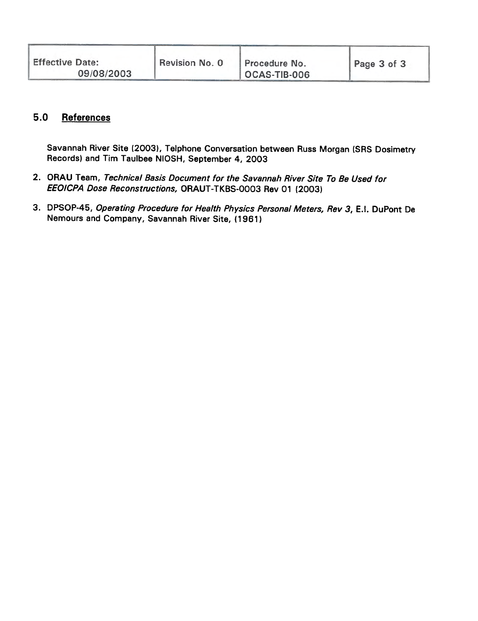| <b>Effective Date:</b><br>Revision No. 0<br>09/08/2003 | Procedure No.<br>OCAS-TIB-006 | Page 3 of 3 |
|--------------------------------------------------------|-------------------------------|-------------|
|--------------------------------------------------------|-------------------------------|-------------|

# 5.0 References

Savannah River Site (2003), Telphone Conversation between Russ Morgan (SRS Dosimetry Records) and Tim Taulbee NIOSH, September 4, 2003

- 2. ORAU Team, Technical Basis Document for the Savannah River Site To Be Used for EEOICPA Dose Reconstructions, ORAUT -TKBS-0003 Rev 01 (2003)
- 3. DPSOP-45, Operating Procedure for Health Physics Personal Meters, Rev 3, E.I. DuPont De Nemours and Company, Savannah River Site, (1961)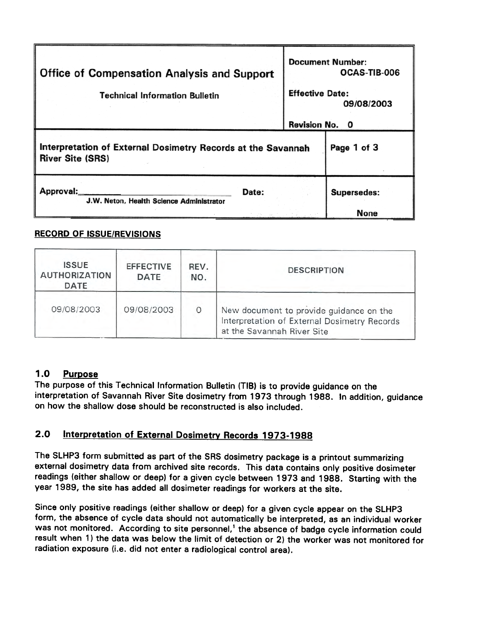| <b>Office of Compensation Analysis and Support</b><br><b>Technical Information Bulletin</b> |       | <b>Document Number:</b><br>OCAS-TIB-006<br><b>Effective Date:</b><br>09/08/2003 |                    |
|---------------------------------------------------------------------------------------------|-------|---------------------------------------------------------------------------------|--------------------|
|                                                                                             |       | Revision No. 0                                                                  |                    |
| Interpretation of External Dosimetry Records at the Savannah<br><b>River Site (SRS)</b>     |       |                                                                                 | Page 1 of 3        |
| Approval:<br>J.W. Neton, Health Science Administrator                                       | Date: |                                                                                 | <b>Supersedes:</b> |
|                                                                                             |       |                                                                                 | <b>None</b>        |

## RECORD OF ISSUE/REVISIONS

| <b>ISSUE</b><br><b>AUTHORIZATION</b><br>DATE | <b>EFFECTIVE</b><br>DATE | REV.<br>NO. | <b>DESCRIPTION</b>                                                                                                    |
|----------------------------------------------|--------------------------|-------------|-----------------------------------------------------------------------------------------------------------------------|
| 09/08/2003                                   | 09/08/2003               | 0           | New document to provide guidance on the<br>Interpretation of External Dosimetry Records<br>at the Savannah River Site |

# 1.0 Purpose

The purpose of this Technical Information Bulletin (TIB) is to provide guidance on the interpretation of Savannah River Site dosimetry from 1973 through 1988. In addition, guidance on how the shallow dose should be reconstructed is also included.

# 2.0 Interpretation of External Dosimetry Records 1973-1988

The SLHP3 form submitted as part of the SRS dosimetry package is a printout summarizing external dosimetry data from archived site records. This data contains only positive dosimeter readings (either shallow or deep) for a given cycle between 1973 and 1988. Starting with the year 1989, the site has added all dosimeter readings for workers at the site.

Since only positive readings (either shallow or deep) for a given cycle appear on the SLHP3 form, the absence of cycle data should not automatically be interpreted, as an individual worker was not monitored. According to site personnel,<sup>1</sup> the absence of badge cycle information could result when 1) the data was below the limit of detection or 2) the worker was not monitored for radiation exposure (i.e. did not enter a radiological control area).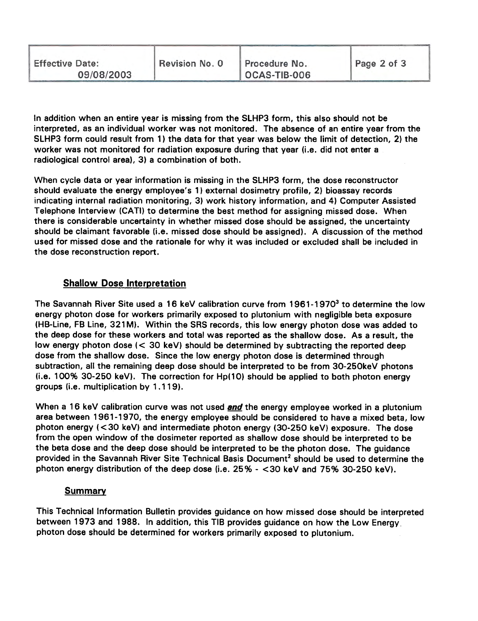| <b>Effective Date:</b><br>09/08/2003 | Revision No. 0 | Procedure No.<br>OCAS-TIB-006 | Page 2 of 3 |
|--------------------------------------|----------------|-------------------------------|-------------|
|                                      |                |                               |             |

In addition when an entire year is missing from the SLHP3 form, this also should not be interpreted, as an individual worker was not monitored. The absence of an entire year from the SLHP3 form could result from 1) the data for that year was below the limit of detection, 2) the worker was not monitored for radiation exposure during that year (i.e. did not enter a radiological control area), 3) a combination of both.

When cycle data or year information is missing in the SLHP3 form, the dose reconstructor should evaluate the energy employee's 1) external dosimetry profile, 2) bioassay records indicating internal radiation monitoring, 3) work history information, and 4) Computer Assisted Telephone Interview (CA TI) to determine the best method for assigning missed dose. When there is considerable uncertainty in whether missed dose should be assigned, the uncertainty should be claimant favorable (i.e. missed dose should be assigned). A discussion of the method used for missed dose and the rationale for why it was included or excluded shall be included in the dose reconstruction report.

## **Shallow Dose Interpretation**

The Savannah River Site used a 16 keV calibration curve from  $1961-1970<sup>3</sup>$  to determine the low energy photon dose for workers primarily exposed to plutonium with negligible beta exposure (HB-Line, FB Line, 321 M). Within the SRS records, this low energy photon dose was added to the deep dose for these workers and total was reported as the shallow dose. As a result, the low energy photon dose  $\langle \langle 30 \text{ keV} \rangle$  should be determined by subtracting the reported deep dose from the shallow dose. Since the low energy photon dose is determined through subtraction, all the remaining deep dose should be interpreted to be from 30-250keV photons  $(i.e. 100\% 30-250 keV)$ . The correction for Hp(10) should be applied to both photon energy groups (i.e. multiplication by 1.119).

When a 16 keV calibration curve was not used and the energy employee worked in a plutonium area between 1961-1970, the energy employee should be considered to have a mixed beta, low photon energy  $( $30 \text{ keV}$ )$  and intermediate photon energy  $(30-250 \text{ keV})$  exposure. The dose from the open window of the dosimeter reported as shallow dose should be interpreted to be the beta dose and the deep dose should be interpreted to be the photon dose. The guidance provided in the Savannah River Site Technical Basis Document<sup>2</sup> should be used to determine the photon energy distribution of the deep dose (i.e. 25% - <30 keV and 75% 30-250 keV).

#### Summary

This Technical Information Bulletin provides guidance on how missed dose should be interpreted between 1973 and 1988. In addition, this TIB provides guidance on how the Low Energy photon dose should be determined for workers primarily exposed to plutonium.